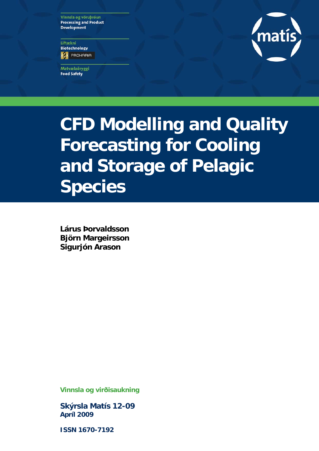Vinnsla og vöruþróun **Processing and Product Development** 

Líftækni **Biotechnology ES** PROHARIA

Matvælaöryggi **Food Safety** 



**CFD Modelling and Quality Forecasting for Cooling and Storage of Pelagic Species** 

**Lárus Þorvaldsson Björn Margeirsson Sigurjón Arason**

**Vinnsla og virðisaukning** 

**Skýrsla Matís 12-09 Apríl 2009** 

**ISSN 1670-7192**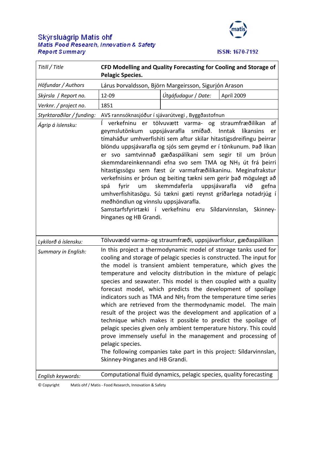# Skýrsluágrip Matís ohf<br>Matis Food Research, Innovation & Safety **Report Summary**



ISSN: 1670-7192

| Titill / Title            | CFD Modelling and Quality Forecasting for Cooling and Storage of<br><b>Pelagic Species.</b>                                                                                                                                                                                                                                                                                                                                                                                                                                                                                                                                                                                                                                                                                                                                                                                                                                                                |                     |            |  |  |  |
|---------------------------|------------------------------------------------------------------------------------------------------------------------------------------------------------------------------------------------------------------------------------------------------------------------------------------------------------------------------------------------------------------------------------------------------------------------------------------------------------------------------------------------------------------------------------------------------------------------------------------------------------------------------------------------------------------------------------------------------------------------------------------------------------------------------------------------------------------------------------------------------------------------------------------------------------------------------------------------------------|---------------------|------------|--|--|--|
| Höfundar / Authors        | Lárus Þorvaldsson, Björn Margeirsson, Sigurjón Arason                                                                                                                                                                                                                                                                                                                                                                                                                                                                                                                                                                                                                                                                                                                                                                                                                                                                                                      |                     |            |  |  |  |
| Skýrsla / Report no.      | 12-09                                                                                                                                                                                                                                                                                                                                                                                                                                                                                                                                                                                                                                                                                                                                                                                                                                                                                                                                                      | Útgáfudagur / Date: | Apríl 2009 |  |  |  |
| Verknr. / project no.     | 1851                                                                                                                                                                                                                                                                                                                                                                                                                                                                                                                                                                                                                                                                                                                                                                                                                                                                                                                                                       |                     |            |  |  |  |
| Styrktaraðilar / funding: | AVS rannsóknasjóður í sjávarútvegi, Byggðastofnun                                                                                                                                                                                                                                                                                                                                                                                                                                                                                                                                                                                                                                                                                                                                                                                                                                                                                                          |                     |            |  |  |  |
| Ágrip á íslensku:         | verkefninu er tölvuvætt varma- og straumfræðilíkan<br>af<br>smíðað.<br>geymslutönkum<br>uppsjávarafla<br>Inntak<br>líkansins<br>er<br>tímaháður umhverfishiti sem aftur skilar hitastigsdreifingu þeirrar<br>blöndu uppsjávarafla og sjós sem geymd er í tönkunum. Það líkan<br>er svo samtvinnað gæðaspálíkani sem segir til um þróun<br>skemmdareinkennandi efna svo sem TMA og NH <sub>3</sub> út frá þeirri<br>hitastigssögu sem fæst úr varmafræðilíkaninu. Meginafrakstur<br>verkefnisins er þróun og beiting tækni sem gerir það mögulegt að<br>skemmdaferla<br>uppsjávarafla<br>um<br>við<br>gefna<br>spá<br>fyrir<br>umhverfishitasögu. Sú tækni gæti reynst gríðarlega notadrjúg í<br>meðhöndlun og vinnslu uppsjávarafla.<br>Samstarfsfyrirtæki í verkefninu eru Síldarvinnslan, Skinney-<br>Þinganes og HB Grandi.                                                                                                                             |                     |            |  |  |  |
| Lykilorð á íslensku:      | Tölvuvædd varma- og straumfræði, uppsjávarfiskur, gæðaspálíkan                                                                                                                                                                                                                                                                                                                                                                                                                                                                                                                                                                                                                                                                                                                                                                                                                                                                                             |                     |            |  |  |  |
| Summary in English:       | In this project a thermodynamic model of storage tanks used for<br>cooling and storage of pelagic species is constructed. The input for<br>the model is transient ambient temperature, which gives the<br>temperature and velocity distribution in the mixture of pelagic<br>species and seawater. This model is then coupled with a quality<br>forecast model, which predicts the development of spoilage<br>indicators such as TMA and NH <sub>3</sub> from the temperature time series<br>which are retrieved from the thermodynamic model. The main<br>result of the project was the development and application of a<br>technique which makes it possible to predict the spoilage of<br>pelagic species given only ambient temperature history. This could<br>prove immensely useful in the management and processing of<br>pelagic species.<br>The following companies take part in this project: Síldarvinnslan,<br>Skinney-Þinganes and HB Grandi. |                     |            |  |  |  |
| English keywords:         | Computational fluid dynamics, pelagic species, quality forecasting                                                                                                                                                                                                                                                                                                                                                                                                                                                                                                                                                                                                                                                                                                                                                                                                                                                                                         |                     |            |  |  |  |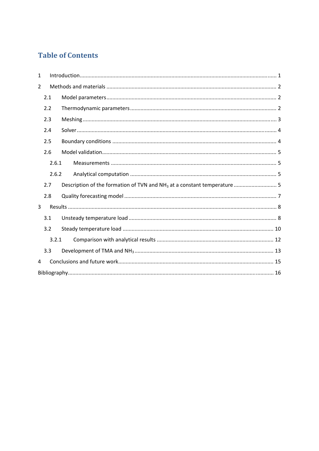# **Table of Contents**

| 1              |       |  |
|----------------|-------|--|
| $\overline{2}$ |       |  |
|                | 2.1   |  |
|                | 2.2   |  |
|                | 2.3   |  |
|                | 2.4   |  |
|                | 2.5   |  |
|                | 2.6   |  |
|                | 2.6.1 |  |
|                | 2.6.2 |  |
|                | 2.7   |  |
|                | 2.8   |  |
| 3              |       |  |
|                | 3.1   |  |
|                | 3.2   |  |
|                | 3.2.1 |  |
|                | 3.3   |  |
| 4              |       |  |
|                |       |  |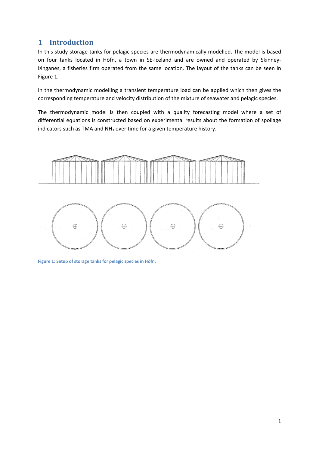# **1 Introduction**

In this study storage tanks for pelagic species are thermodynamically modelled. The model is based on four tanks located in Höfn, a town in SE‐Iceland and are owned and operated by Skinney‐ Þinganes, a fisheries firm operated from the same location. The layout of the tanks can be seen in Figure 1.

In the thermodynamic modelling a transient temperature load can be applied which then gives the corresponding temperature and velocity distribution of the mixture of seawater and pelagic species.

The thermodynamic model is then coupled with a quality forecasting model where a set of differential equations is constructed based on experimental results about the formation of spoilage indicators such as TMA and  $NH<sub>3</sub>$  over time for a given temperature history.



**Figure 1: Setup of storage tanks for pelagic species in Höfn.**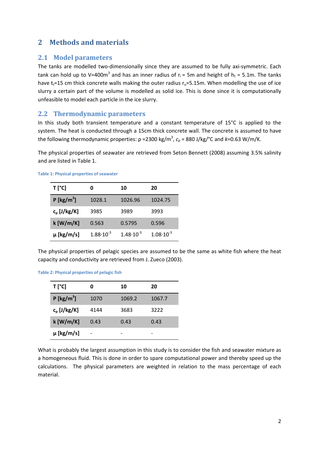# **2 Methods and materials**

### **2.1 Model parameters**

The tanks are modelled two-dimensionally since they are assumed to be fully axi-symmetric. Each tank can hold up to V=400m<sup>3</sup> and has an inner radius of  $r_i$  = 5m and height of  $h_t$  = 5.1m. The tanks have  $t_t$ =15 cm thick concrete walls making the outer radius  $r_0$ =5.15m. When modelling the use of ice slurry a certain part of the volume is modelled as solid ice. This is done since it is computationally unfeasible to model each particle in the ice slurry.

### **2.2 Thermodynamic parameters**

In this study both transient temperature and a constant temperature of 15°C is applied to the system. The heat is conducted through a 15cm thick concrete wall. The concrete is assumed to have the following thermodynamic properties: ρ =2300 kg/m<sup>3</sup>, c<sub>p</sub> = 880 J/kg/°C and *k*=0.63 W/m/K.

The physical properties of seawater are retrieved from Seton Bennett (2008) assuming 3.5% salinity and are listed in Table 1.

| T [°C]                   | n                    | 10                   | 20                   |
|--------------------------|----------------------|----------------------|----------------------|
| $P$ [kg/m <sup>3</sup> ] | 1028.1               | 1026.96              | 1024.75              |
| $c_p$ [J/kg/K]           | 3985                 | 3989                 | 3993                 |
| $k$ [W/m/K]              | 0.563                | 0.5795               | 0.596                |
| $\mu$ [kg/m/s]           | $1.88 \cdot 10^{-3}$ | $1.48 \cdot 10^{-3}$ | $1.08 \cdot 10^{-3}$ |

#### **Table 1: Physical properties of seawater**

The physical properties of pelagic species are assumed to be the same as white fish where the heat capacity and conductivity are retrieved from J. Zueco (2003).

**Table 2: Physical properties of pelagic fish**

| T [°C]                   | 0    | 10     | 20     |
|--------------------------|------|--------|--------|
| $P$ [kg/m <sup>3</sup> ] | 1070 | 1069.2 | 1067.7 |
| $c_p$ [J/kg/K]           | 4144 | 3683   | 3222   |
| $k$ [W/m/K]              | 0.43 | 0.43   | 0.43   |
| $\mu$ [kg/m/s]           |      |        |        |

What is probably the largest assumption in this study is to consider the fish and seawater mixture as a homogeneous fluid. This is done in order to spare computational power and thereby speed up the calculations. The physical parameters are weighted in relation to the mass percentage of each material.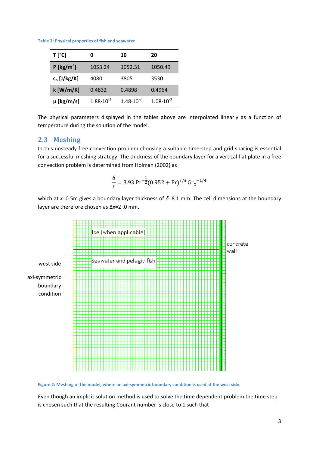**Table 3: Physical properties of fish and seawater**

| T [°C]                   | O                    | 10                   | 20                   |
|--------------------------|----------------------|----------------------|----------------------|
| $P$ [kg/m <sup>3</sup> ] | 1053.24              | 1052.31              | 1050.49              |
| $c_p$ [J/kg/K]           | 4080                 | 3805                 | 3530                 |
| $k$ [W/m/K]              | 0.4832               | 0.4898               | 0.4964               |
| $\mu$ [kg/m/s]           | $1.88 \cdot 10^{-3}$ | $1.48 \cdot 10^{-3}$ | $1.08 \cdot 10^{-3}$ |

The physical parameters displayed in the tables above are interpolated linearly as a function of temperature during the solution of the model.

### **2.3 Meshing**

In this unsteady free convection problem choosing a suitable time-step and grid spacing is essential for a successful meshing strategy. The thickness of the boundary layer for a vertical flat plate in a free convection problem is determined from Holman (2002) as

$$
\frac{\delta}{x} = 3.93 \, \text{Pr}^{-\frac{1}{2}} (0.952 + \text{Pr})^{1/4} \, \text{Gr}_x^{-1/4}
$$

which at *x*=0.5m gives a boundary layer thickness of *δ*=8.1 mm. The cell dimensions at the boundary layer are therefore chosen as Δx=2 .0 mm.



Figure 2: Meshing of the model, where an axi-symmetric boundary condition is used at the west side.

Even though an implicit solution method is used to solve the time dependent problem the time step is chosen such that the resulting Courant number is close to 1 such that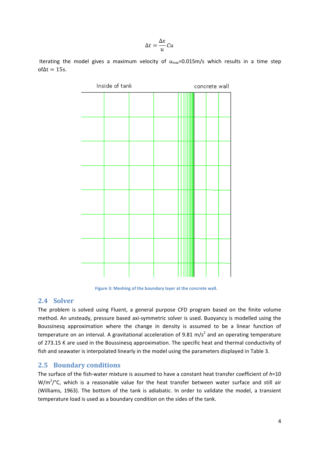$$
\Delta t = \frac{\Delta x}{u} C u
$$

Iterating the model gives a maximum velocity of  $u_{\text{max}}$ =0.015m/s which results in a time step of $\Delta t = 15$ s.



**Figure 3: Meshing of the boundary layer at the concrete wall.**

### **2.4 Solver**

The problem is solved using Fluent, a general purpose CFD program based on the finite volume method. An unsteady, pressure based axi‐symmetric solver is used. Buoyancy is modelled using the Boussinesq approximation where the change in density is assumed to be a linear function of temperature on an interval. A gravitational acceleration of 9.81 m/s<sup>2</sup> and an operating temperature of 273.15 K are used in the Boussinesq approximation. The specific heat and thermal conductivity of fish and seawater is interpolated linearly in the model using the parameters displayed in Table 3.

## **2.5 Boundary conditions**

The surface of the fish-water mixture is assumed to have a constant heat transfer coefficient of  $h=10$ W/m<sup>2</sup>/°C, which is a reasonable value for the heat transfer between water surface and still air (Williams, 1963). The bottom of the tank is adiabatic. In order to validate the model, a transient temperature load is used as a boundary condition on the sides of the tank.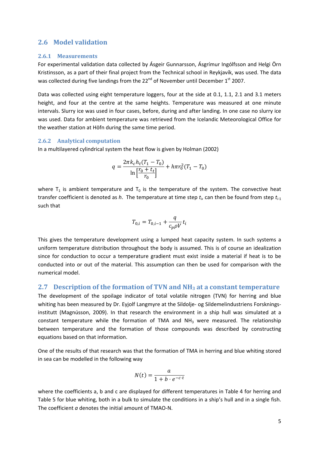### **2.6 Model validation**

#### **2.6.1 Measurements**

For experimental validation data collected by Ásgeir Gunnarsson, Ásgrímur Ingólfsson and Helgi Örn Kristinsson, as a part of their final project from the Technical school in Reykjavík, was used. The data was collected during five landings from the  $22^{nd}$  of November until December  $1^{st}$  2007.

Data was collected using eight temperature loggers, four at the side at 0.1, 1.1, 2.1 and 3.1 meters height, and four at the centre at the same heights. Temperature was measured at one minute intervals. Slurry ice was used in four cases, before, during and after landing. In one case no slurry ice was used. Data for ambient temperature was retrieved from the Icelandic Meteorological Office for the weather station at Höfn during the same time period.

#### **2.6.2 Analytical computation**

In a multilayered cylindrical system the heat flow is given by Holman (2002)

$$
q = \frac{2\pi k_c h_t (T_1 - T_0)}{\ln \left[\frac{r_0 + t_t}{r_0}\right]} + h\pi r_0^2 (T_1 - T_0)
$$

where  $T_1$  is ambient temperature and  $T_0$  is the temperature of the system. The convective heat transfer coefficient is denoted as *h*. The temperature at time step *ti*, can then be found from step *ti*‐<sup>1</sup> such that

$$
T_{0,i} = T_{0,i-1} + \frac{q}{c_p \rho V} t_i
$$

This gives the temperature development using a lumped heat capacity system. In such systems a uniform temperature distribution throughout the body is assumed. This is of course an idealization since for conduction to occur a temperature gradient must exist inside a material if heat is to be conducted into or out of the material. This assumption can then be used for comparison with the numerical model.

#### **2.7 Description of the formation of TVN and NH3 at a constant temperature**

The development of the spoilage indicator of total volatile nitrogen (TVN) for herring and blue whiting has been measured by Dr. Eyjolf Langmyre at the Sildolje- og Sildemelindustriens Forskningsinstitutt (Magnússon, 2009). In that research the environment in a ship hull was simulated at a constant temperature while the formation of TMA and  $NH<sub>3</sub>$  were measured. The relationship between temperature and the formation of those compounds was described by constructing equations based on that information.

One of the results of that research was that the formation of TMA in herring and blue whiting stored in sea can be modelled in the following way

$$
N(t) = \frac{a}{1 + b \cdot e^{-c \cdot t}}
$$

where the coefficients a, b and c are displayed for different temperatures in Table 4 for herring and Table 5 for blue whiting, both in a bulk to simulate the conditions in a ship's hull and in a single fish. The coefficient *a* denotes the initial amount of TMAO‐N.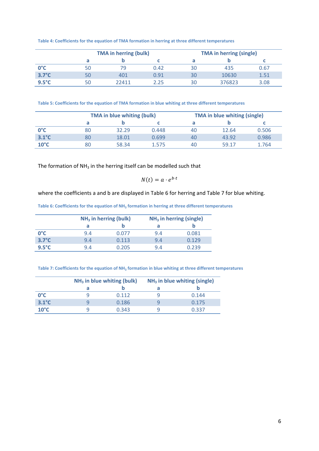|  |  |  | Table 4: Coefficients for the equation of TMA formation in herring at three different temperatures |
|--|--|--|----------------------------------------------------------------------------------------------------|
|--|--|--|----------------------------------------------------------------------------------------------------|

|                 | <b>TMA in herring (bulk)</b> |       |      |    | <b>TMA in herring (single)</b> |      |  |
|-----------------|------------------------------|-------|------|----|--------------------------------|------|--|
|                 |                              |       |      |    |                                |      |  |
| $0^{\circ}$ C   | טכ                           | 79    | 0.42 | 30 | 435                            | 0.67 |  |
| $3.7^{\circ}$ C | 50                           | 401   | 0.91 | 30 | 10630                          | 1.51 |  |
| $9.5^{\circ}$ C | 50                           | 22411 | 2.25 | 30 | 376823                         | 3.08 |  |

**Table 5: Coefficients for the equation of TMA formation in blue whiting at three different temperatures**

|                 |    | <b>TMA in blue whiting (bulk)</b> |       |    | <b>TMA in blue whiting (single)</b> |       |  |
|-----------------|----|-----------------------------------|-------|----|-------------------------------------|-------|--|
|                 |    |                                   |       |    |                                     |       |  |
| $0^{\circ}$ C   | 80 | 32.29                             | 0.448 | 40 | 12.64                               | 0.506 |  |
| $3.1^{\circ}$ C | 80 | 18.01                             | 0.699 | 40 | 43.92                               | 0.986 |  |
| $10^{\circ}$ C  | 80 | 58.34                             | 1.575 | 40 | 59.17                               | 1.764 |  |

The formation of  $NH<sub>3</sub>$  in the herring itself can be modelled such that

 $N(t) = a \cdot e^{b \cdot t}$ 

where the coefficients a and b are displayed in Table 6 for herring and Table 7 for blue whiting.

**Table 6: Coefficients for the equation of NH3 formation in herring at three different temperatures** 

|                 | $NH3$ in herring (bulk) |       |     | $NH3$ in herring (single) |
|-----------------|-------------------------|-------|-----|---------------------------|
|                 | а                       |       | а   |                           |
| $0^{\circ}$ C   | 9.4                     | 0.077 | 9.4 | 0.081                     |
| $3.7^{\circ}$ C | 9.4                     | 0.113 | 9.4 | 0.129                     |
| $9.5^{\circ}$ C | 9.4                     | 0.205 | 9.4 | በ 239                     |

**Table 7: Coefficients for the equation of NH3 formation in blue whiting at three different temperatures**

|                 | $NH3$ in blue whiting (bulk) |       | $NH3$ in blue whiting (single) |
|-----------------|------------------------------|-------|--------------------------------|
|                 |                              |       |                                |
| $0^{\circ}$ C   |                              | 0.112 | 0.144                          |
| $3.1^{\circ}$ C |                              | 0.186 | 0.175                          |
| $10^{\circ}$ C  |                              | 0.343 | 0.337                          |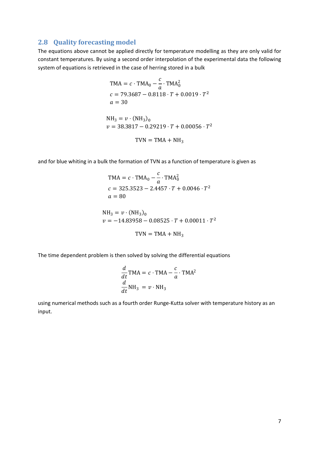# **2.8 Quality forecasting model**

The equations above cannot be applied directly for temperature modelling as they are only valid for constant temperatures. By using a second order interpolation of the experimental data the following system of equations is retrieved in the case of herring stored in a bulk

$$
TMA = c \cdot TMA_0 - \frac{c}{a} \cdot TMA_0^2
$$
  
\n
$$
c = 79.3687 - 0.8118 \cdot T + 0.0019 \cdot T^2
$$
  
\n
$$
a = 30
$$
  
\nNH<sub>3</sub> = v \cdot (NH<sub>3</sub>)<sub>0</sub>  
\n
$$
v = 38.3817 - 0.29219 \cdot T + 0.00056 \cdot T^2
$$
  
\nTVN = TMA + NH<sub>3</sub>

and for blue whiting in a bulk the formation of TVN as a function of temperature is given as

$$
TMA = c \cdot TMA_0 - \frac{c}{a} \cdot TMA_0^2
$$
  
\n
$$
c = 325.3523 - 2.4457 \cdot T + 0.0046 \cdot T^2
$$
  
\n
$$
a = 80
$$
  
\nNH<sub>3</sub> = v \cdot (NH<sub>3</sub>)<sub>0</sub>  
\n
$$
v = -14.83958 - 0.08525 \cdot T + 0.00011 \cdot T^2
$$
  
\nTVN = TMA + NH<sub>3</sub>

The time dependent problem is then solved by solving the differential equations

$$
\frac{d}{dt} \text{TMA} = c \cdot \text{TMA} - \frac{c}{a} \cdot \text{TMA}^2
$$

$$
\frac{d}{dt} \text{NH}_3 = v \cdot \text{NH}_3
$$

using numerical methods such as a fourth order Runge‐Kutta solver with temperature history as an input.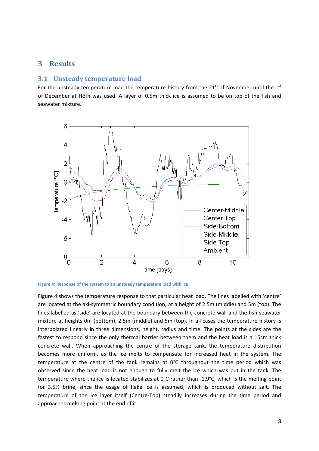# **3 Results**

### **3.1 Unsteady temperature load**

For the unsteady temperature load the temperature history from the  $21^{st}$  of November until the  $1^{st}$ of December at Höfn was used. A layer of 0.5m thick ice is assumed to be on top of the fish and seawater mixture.



**Figure 4: Response of the system to an unsteady temperature load with ice**

Figure 4 shows the temperature response to that particular heat load. The lines labelled with 'centre' are located at the axi-symmetric boundary condition, at a height of 2.5m (middle) and 5m (top). The lines labelled as 'side' are located at the boundary between the concrete wall and the fish‐seawater mixture at heights 0m (bottom), 2.5m (middle) and 5m (top). In all cases the temperature history is interpolated linearly in three dimensions, height, radius and time. The points at the sides are the fastest to respond since the only thermal barrier between them and the heat load is a 15cm thick concrete wall. When approaching the centre of the storage tank, the temperature distribution becomes more uniform, as the ice melts to compensate for increased heat in the system. The temperature at the centre of the tank remains at 0°C throughout the time period which was observed since the heat load is not enough to fully melt the ice which was put in the tank. The temperature where the ice is located stabilizes at 0°C rather than ‐1.9°C, which is the melting point for 3.5% brine, since the usage of flake ice is assumed, which is produced without salt. The temperature of the ice layer itself (Centre‐Top) steadily increases during the time period and approaches melting point at the end of it.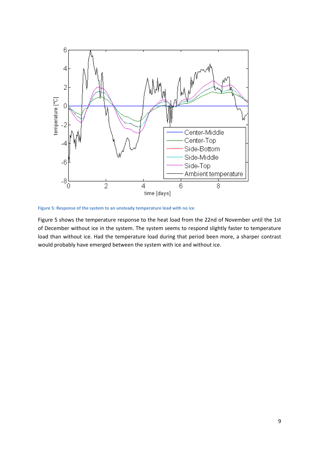

**Figure 5: Response of the system to an unsteady temperature load with no ice**

Figure 5 shows the temperature response to the heat load from the 22nd of November until the 1st of December without ice in the system. The system seems to respond slightly faster to temperature load than without ice. Had the temperature load during that period been more, a sharper contrast would probably have emerged between the system with ice and without ice.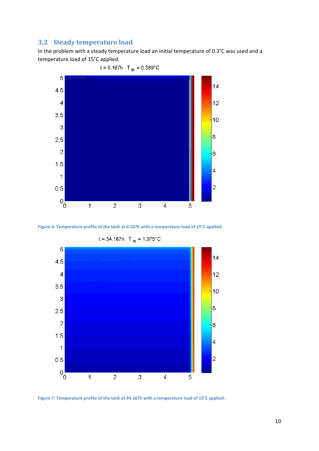# **3.2 Steady temperature load**

In the problem with a steady temperature load an initial temperature of 0.3°C was used and a temperature load of 15°C applied.



 $t = 0.167h$  T<sub>m</sub> = 0.389°C





 $t = 34.167h$  T<sub>m</sub> = 1.975°C

**Figure 7: Temperature profile of the tank at 34.167h with a temperature load of 15°C applied.**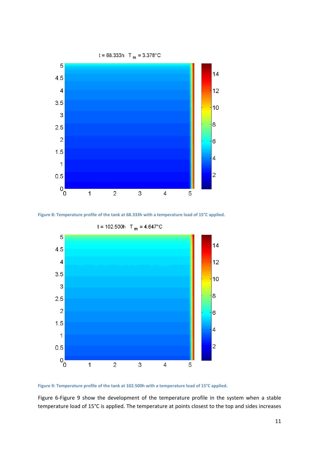





**Figure 9: Temperature profile of the tank at 102.500h with a temperature load of 15°C applied.**

Figure 6-Figure 9 show the development of the temperature profile in the system when a stable temperature load of 15°C is applied. The temperature at points closest to the top and sides increases

11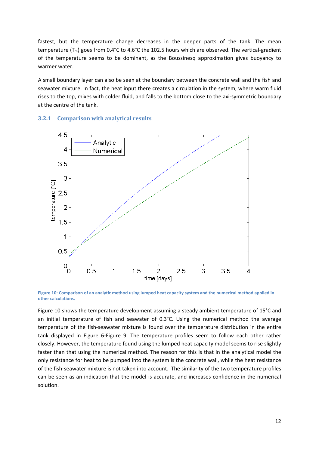fastest, but the temperature change decreases in the deeper parts of the tank. The mean temperature ( $T_m$ ) goes from 0.4°C to 4.6°C the 102.5 hours which are observed. The vertical-gradient of the temperature seems to be dominant, as the Boussinesq approximation gives buoyancy to warmer water.

A small boundary layer can also be seen at the boundary between the concrete wall and the fish and seawater mixture. In fact, the heat input there creates a circulation in the system, where warm fluid rises to the top, mixes with colder fluid, and falls to the bottom close to the axi-symmetric boundary at the centre of the tank.

#### **3.2.1 Comparison with analytical results**



Figure 10: Comparison of an analytic method using lumped heat capacity system and the numerical method applied in **other calculations.**

Figure 10 shows the temperature development assuming a steady ambient temperature of 15°C and an initial temperature of fish and seawater of 0.3°C. Using the numerical method the average temperature of the fish‐seawater mixture is found over the temperature distribution in the entire tank displayed in Figure 6‐Figure 9. The temperature profiles seem to follow each other rather closely. However, the temperature found using the lumped heat capacity model seems to rise slightly faster than that using the numerical method. The reason for this is that in the analytical model the only resistance for heat to be pumped into the system is the concrete wall, while the heat resistance of the fish‐seawater mixture is not taken into account. The similarity of the two temperature profiles can be seen as an indication that the model is accurate, and increases confidence in the numerical solution.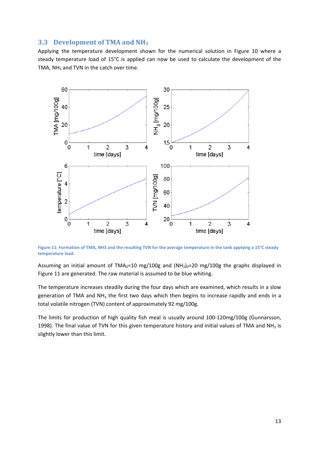### **3.3 Development of TMA and NH3**

Applying the temperature development shown for the numerical solution in Figure 10 where a steady temperature load of 15°C is applied can now be used to calculate the development of the TMA,  $NH<sub>3</sub>$  and TVN in the catch over time.



Figure 11: Formation of TMA, NH3 and the resulting TVN for the average temperature in the tank applying a 15°C steady **temperature load.**

Assuming an initial amount of TMA<sub>0</sub>=10 mg/100g and  $(NH_3)_0$ =20 mg/100g the graphs displayed in Figure 11 are generated. The raw material is assumed to be blue whiting.

The temperature increases steadily during the four days which are examined, which results in a slow generation of TMA and  $NH<sub>3</sub>$  the first two days which then begins to increase rapidly and ends in a total volatile nitrogen (TVN) content of approximately 92 mg/100g.

The limits for production of high quality fish meal is usually around 100‐120mg/100g (Gunnarsson, 1998). The final value of TVN for this given temperature history and initial values of TMA and NH<sub>3</sub> is slightly lower than this limit.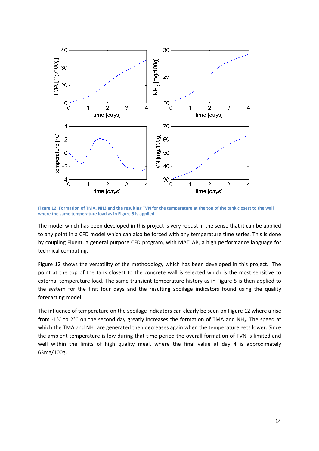

Figure 12: Formation of TMA, NH3 and the resulting TVN for the temperature at the top of the tank closest to the wall **where the same temperature load as in Figure 5 is applied.** 

The model which has been developed in this project is very robust in the sense that it can be applied to any point in a CFD model which can also be forced with any temperature time series. This is done by coupling Fluent, a general purpose CFD program, with MATLAB, a high performance language for technical computing.

Figure 12 shows the versatility of the methodology which has been developed in this project. The point at the top of the tank closest to the concrete wall is selected which is the most sensitive to external temperature load. The same transient temperature history as in Figure 5 is then applied to the system for the first four days and the resulting spoilage indicators found using the quality forecasting model.

The influence of temperature on the spoilage indicators can clearly be seen on Figure 12 where a rise from -1°C to 2°C on the second day greatly increases the formation of TMA and NH<sub>3</sub>. The speed at which the TMA and  $NH<sub>3</sub>$  are generated then decreases again when the temperature gets lower. Since the ambient temperature is low during that time period the overall formation of TVN is limited and well within the limits of high quality meal, where the final value at day 4 is approximately 63mg/100g.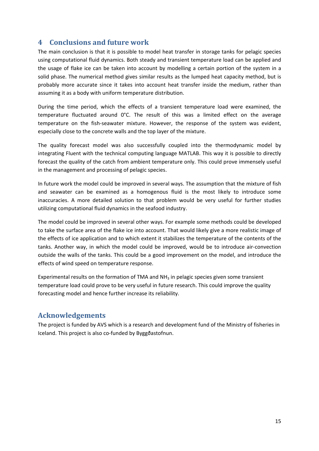# **4 Conclusions and future work**

The main conclusion is that it is possible to model heat transfer in storage tanks for pelagic species using computational fluid dynamics. Both steady and transient temperature load can be applied and the usage of flake ice can be taken into account by modelling a certain portion of the system in a solid phase. The numerical method gives similar results as the lumped heat capacity method, but is probably more accurate since it takes into account heat transfer inside the medium, rather than assuming it as a body with uniform temperature distribution.

During the time period, which the effects of a transient temperature load were examined, the temperature fluctuated around 0°C. The result of this was a limited effect on the average temperature on the fish‐seawater mixture. However, the response of the system was evident, especially close to the concrete walls and the top layer of the mixture.

The quality forecast model was also successfully coupled into the thermodynamic model by integrating Fluent with the technical computing language MATLAB. This way it is possible to directly forecast the quality of the catch from ambient temperature only. This could prove immensely useful in the management and processing of pelagic species.

In future work the model could be improved in several ways. The assumption that the mixture of fish and seawater can be examined as a homogenous fluid is the most likely to introduce some inaccuracies. A more detailed solution to that problem would be very useful for further studies utilizing computational fluid dynamics in the seafood industry.

The model could be improved in several other ways. For example some methods could be developed to take the surface area of the flake ice into account. That would likely give a more realistic image of the effects of ice application and to which extent it stabilizes the temperature of the contents of the tanks. Another way, in which the model could be improved, would be to introduce air‐convection outside the walls of the tanks. This could be a good improvement on the model, and introduce the effects of wind speed on temperature response.

Experimental results on the formation of TMA and NH<sub>3</sub> in pelagic species given some transient temperature load could prove to be very useful in future research. This could improve the quality forecasting model and hence further increase its reliability.

# **Acknowledgements**

The project is funded by AVS which is a research and development fund of the Ministry of fisheries in Iceland. This project is also co‐funded by Byggðastofnun.